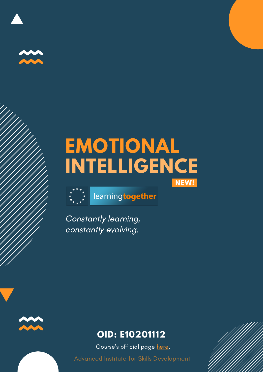

## **EMOTIONAL INTELLIGENCE** NEW!



learningtogether

Constantly learning, constantly evolving.



### **OID: E10201112**

Course's official page [here.](https://www.learning-together.eu/emotional-intelligence/)

Advanced Institute for Skills Development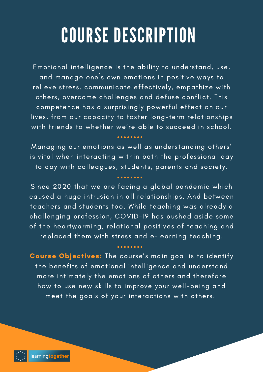# COURSE DESCRIPTION

Emotional intelligence is the ability to understand, use, and manage one´s own emotions in positive ways to relieve stress, communicate effectively, empathize with others, overcome challenges and defuse conflict. This competence has a surprisingly powerful effect on our lives, from our capacity to foster long-term relationships with friends to whether we're able to succeed in school.

Managing our emotions as well as understanding others' is vital when interacting within both the professional day to day with colleagues, students, parents and society.

Since 2020 that we are facing a global pandemic which caused a huge intrusion in all relationships. And between teachers and students too. While teaching was already a challenging profession, COVID-19 has pushed aside some of the heartwarming, relational positives of teaching and replaced them with stress and e-learning teaching.

Course Objectives: The course's main goal is to identify the benefits of emotional intelligence and understand more intimately the emotions of others and therefore how to use new skills to improve your well-being and meet the goals of your interactions with others.

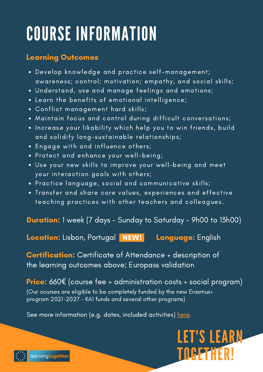# COURSE INFORMATION

#### Learning Outcomes

- Develop knowledge and practice self-management; awareness; control; motivation; empathy, and social skills;
- Understand, use and manage feelings and emotions;
- Learn the benefits of emotional intelligence;
- Conflict management hard skills;
- Maintain focus and control during difficult conversations;
- . Increase your likability which help you to win friends, build and solidify long-sustainable relationships;
- Engage with and influence others;
- Protect and enhance your well-being;
- Use your new skills to improve your well-being and meet your interaction goals with others;
- Practice language, social and communicative skills;
- Transfer and share core values, experiences and effective teaching practices with other teachers and colleagues.

Duration: 1 week (7 days - Sunday to Saturday - 9h00 to 13h00)

Location: Lisbon, Portugal **NEW!** Language: English

Certification: Certificate of Attendance + description of the learning outcomes above; Europass validation

**Price:** 660 $\epsilon$  (course fee + administration costs + social program) (Our courses are eligible to be completely funded by the new Erasmus+ program 2021-2027 - KA1 funds and several other programs)

See more information (e.g. dates, included activities) [here.](https://www.learning-together.eu/emotional-intelligence/)

## LET'S LEARN TOGETHER!

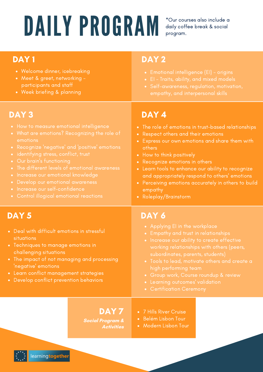# DAILY PROGRAM

\*Our courses also include a daily coffee break & social program.

- Welcome dinner, icebreaking
- Meet & greet, networking participants and staff
- Week briefing & planning

- How to measure emotional intelligence
- What are emotions? Recognizing the role of Respect other what are emotions? Recognizing the role of Respect other what is not are what is not are what is not are what is not are what is not are what is not are what i emotions
- 
- 
- 
- The different levels of emotional awareness
- **.** Increase our emotional knowledge
- Develop our emotional awareness
- Increase our self-confidence
- 

#### DAY 1 DAY 2 DAY 1 DAY 2

- 
- 
- 

### DAY 3 DAY 4

- The role of emotions in trust-based relationships
- Respect others and their emotions
- Express our own emotions and share them with others
- How to think positively
- Recognize emotions in others
- Learn tools to enhance our ability to recognize and appropriately respond to others' emotions
- Perceiving emotions accurately in others to build empathy
- Roleplay/Brainstorm

- Deal with difficult emotions in stressful situations
- Techniques to manage<br>challenging situations • Techniques to manage emotions in
- The impact of not managing and processing 'negative' emotions
- Learn conflict management strategies
- Develop conflict prevention behaviors

#### DAY 5 DAY 6

- 
- 
- subordinates, parents, students)
- 
- 
- 
- 

#### DAY 7

**Social Program & Activities**

- 7 Hills River Cruise
- Belém Lisbon Tour
- Modern Lisbon Tour